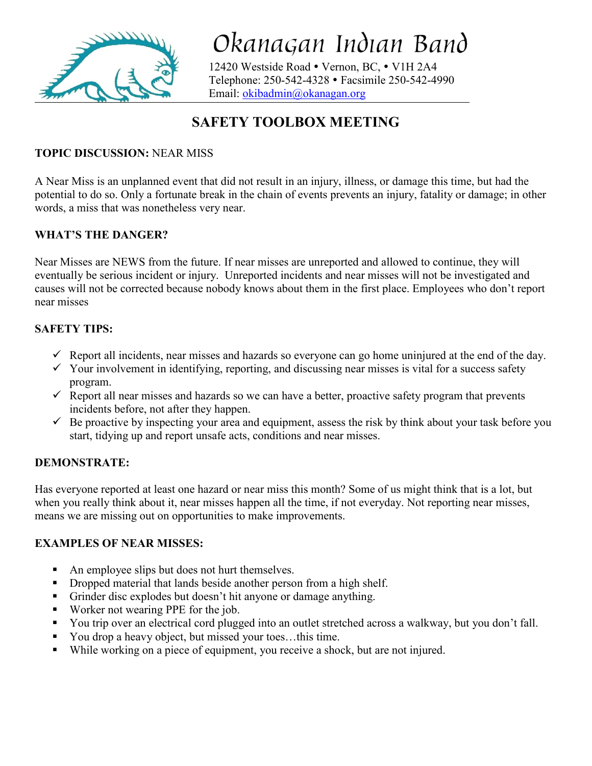

Okanagan Indian Band

12420 Westside Road · Vernon, BC, · V1H 2A4 Telephone: 250-542-4328 Facsimile 250-542-4990 Email: [okibadmin@okanagan.org](mailto:okibadmin@okanagan.org)

# **SAFETY TOOLBOX MEETING**

## **TOPIC DISCUSSION:** NEAR MISS

A Near Miss is an unplanned event that did not result in an injury, illness, or damage this time, but had the potential to do so. Only a fortunate break in the chain of events prevents an injury, fatality or damage; in other words, a miss that was nonetheless very near.

## **WHAT'S THE DANGER?**

Near Misses are NEWS from the future. If near misses are unreported and allowed to continue, they will eventually be serious incident or injury. Unreported incidents and near misses will not be investigated and causes will not be corrected because nobody knows about them in the first place. Employees who don't report near misses

### **SAFETY TIPS:**

- $\checkmark$  Report all incidents, near misses and hazards so everyone can go home uninjured at the end of the day.
- $\checkmark$  Your involvement in identifying, reporting, and discussing near misses is vital for a success safety program.
- $\checkmark$  Report all near misses and hazards so we can have a better, proactive safety program that prevents incidents before, not after they happen.
- $\checkmark$  Be proactive by inspecting your area and equipment, assess the risk by think about your task before you start, tidying up and report unsafe acts, conditions and near misses.

## **DEMONSTRATE:**

Has everyone reported at least one hazard or near miss this month? Some of us might think that is a lot, but when you really think about it, near misses happen all the time, if not everyday. Not reporting near misses, means we are missing out on opportunities to make improvements.

### **EXAMPLES OF NEAR MISSES:**

- An employee slips but does not hurt themselves.
- Dropped material that lands beside another person from a high shelf.
- Grinder disc explodes but doesn't hit anyone or damage anything.
- Worker not wearing PPE for the job.
- You trip over an electrical cord plugged into an outlet stretched across a walkway, but you don't fall.
- You drop a heavy object, but missed your toes...this time.
- While working on a piece of equipment, you receive a shock, but are not injured.